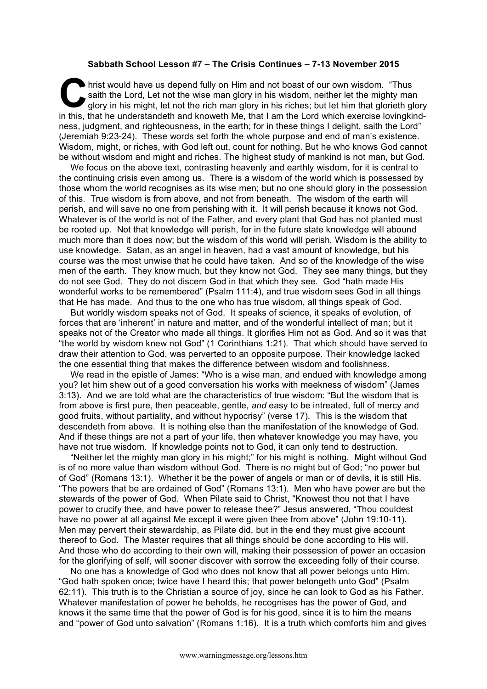## **Sabbath School Lesson #7 – The Crisis Continues – 7-13 November 2015**

hrist would have us depend fully on Him and not boast of our own wisdom. "Thus saith the Lord, Let not the wise man glory in his wisdom, neither let the mighty man glory in his might, let not the rich man glory in his riches; but let him that glorieth glory In this that he understandeth and knoweth Me, that I am the Lord which exercise lovingkind-<br>
In this, that he understandeth and knoweth Me, that I am the Lord which exercise lovingkindness, judgment, and righteousness, in the earth; for in these things I delight, saith the Lord" (Jeremiah 9:23-24). These words set forth the whole purpose and end of man's existence. Wisdom, might, or riches, with God left out, count for nothing. But he who knows God cannot be without wisdom and might and riches. The highest study of mankind is not man, but God.

We focus on the above text, contrasting heavenly and earthly wisdom, for it is central to the continuing crisis even among us. There is a wisdom of the world which is possessed by those whom the world recognises as its wise men; but no one should glory in the possession of this. True wisdom is from above, and not from beneath. The wisdom of the earth will perish, and will save no one from perishing with it. It will perish because it knows not God. Whatever is of the world is not of the Father, and every plant that God has not planted must be rooted up. Not that knowledge will perish, for in the future state knowledge will abound much more than it does now; but the wisdom of this world will perish. Wisdom is the ability to use knowledge. Satan, as an angel in heaven, had a vast amount of knowledge, but his course was the most unwise that he could have taken. And so of the knowledge of the wise men of the earth. They know much, but they know not God. They see many things, but they do not see God. They do not discern God in that which they see. God "hath made His wonderful works to be remembered" (Psalm 111:4), and true wisdom sees God in all things that He has made. And thus to the one who has true wisdom, all things speak of God.

But worldly wisdom speaks not of God. It speaks of science, it speaks of evolution, of forces that are 'inherent' in nature and matter, and of the wonderful intellect of man; but it speaks not of the Creator who made all things. It glorifies Him not as God. And so it was that "the world by wisdom knew not God" (1 Corinthians 1:21). That which should have served to draw their attention to God, was perverted to an opposite purpose. Their knowledge lacked the one essential thing that makes the difference between wisdom and foolishness.

We read in the epistle of James: "Who is a wise man, and endued with knowledge among you? let him shew out of a good conversation his works with meekness of wisdom" (James 3:13). And we are told what are the characteristics of true wisdom: "But the wisdom that is from above is first pure, then peaceable, gentle, *and* easy to be intreated, full of mercy and good fruits, without partiality, and without hypocrisy" (verse 17). This is the wisdom that descendeth from above. It is nothing else than the manifestation of the knowledge of God. And if these things are not a part of your life, then whatever knowledge you may have, you have not true wisdom. If knowledge points not to God, it can only tend to destruction.

"Neither let the mighty man glory in his might;" for his might is nothing. Might without God is of no more value than wisdom without God. There is no might but of God; "no power but of God" (Romans 13:1). Whether it be the power of angels or man or of devils, it is still His. "The powers that be are ordained of God" (Romans 13:1). Men who have power are but the stewards of the power of God. When Pilate said to Christ, "Knowest thou not that I have power to crucify thee, and have power to release thee?" Jesus answered, "Thou couldest have no power at all against Me except it were given thee from above" (John 19:10-11). Men may pervert their stewardship, as Pilate did, but in the end they must give account thereof to God. The Master requires that all things should be done according to His will. And those who do according to their own will, making their possession of power an occasion for the glorifying of self, will sooner discover with sorrow the exceeding folly of their course.

No one has a knowledge of God who does not know that all power belongs unto Him. "God hath spoken once; twice have I heard this; that power belongeth unto God" (Psalm 62:11). This truth is to the Christian a source of joy, since he can look to God as his Father. Whatever manifestation of power he beholds, he recognises has the power of God, and knows it the same time that the power of God is for his good, since it is to him the means and "power of God unto salvation" (Romans 1:16). It is a truth which comforts him and gives